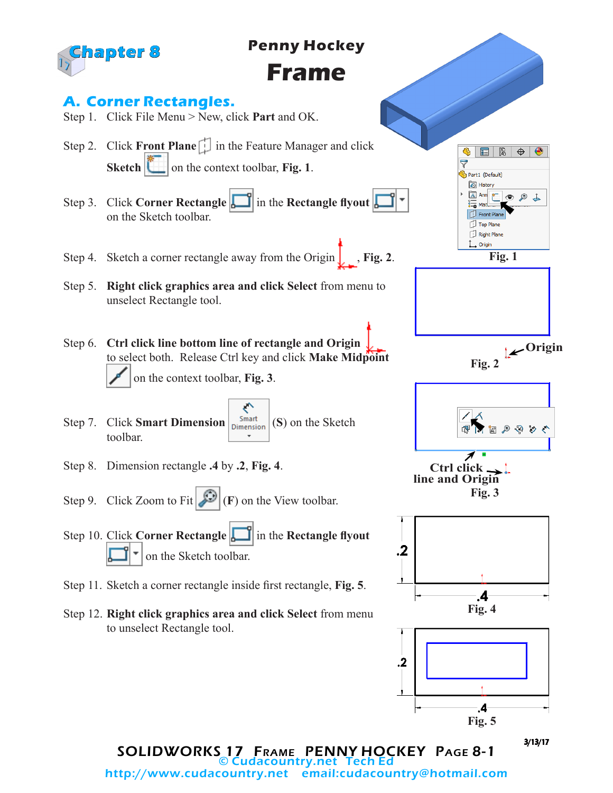

© Cudacountry.net Tech Ed email:cudacountry@hotmail.com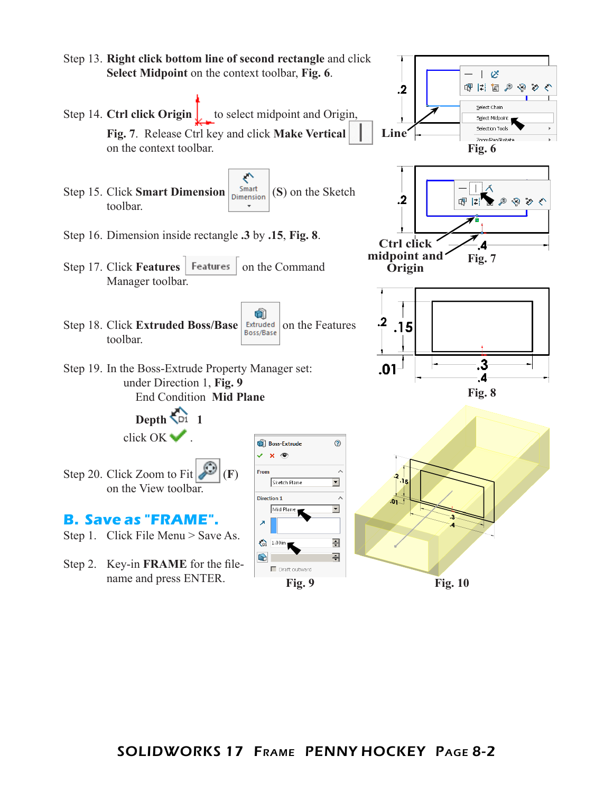